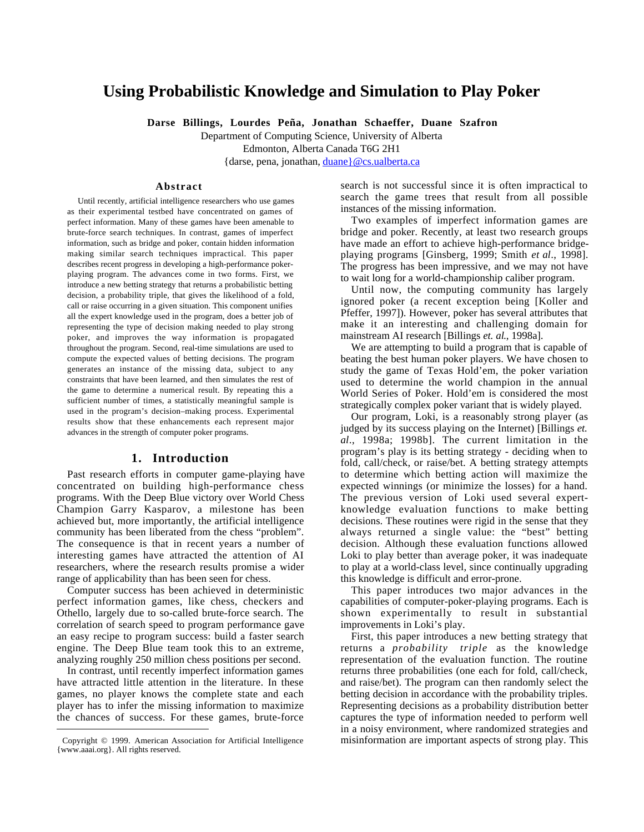# **Using Probabilistic Knowledge and Simulation to Play Poker**

**Darse Billings, Lourdes Peña, Jonathan Schaeffer, Duane Szafron**

Department of Computing Science, University of Alberta

Edmonton, Alberta Canada T6G 2H1

{darse, pena, jonathan, duane}@cs.ualberta.ca

### **Abstract**

Until recently, artificial intelligence researchers who use games as their experimental testbed have concentrated on games of perfect information. Many of these games have been amenable to brute-force search techniques. In contrast, games of imperfect information, such as bridge and poker, contain hidden information making similar search techniques impractical. This paper describes recent progress in developing a high-performance pokerplaying program. The advances come in two forms. First, we introduce a new betting strategy that returns a probabilistic betting decision, a probability triple, that gives the likelihood of a fold, call or raise occurring in a given situation. This component unifies all the expert knowledge used in the program, does a better job of representing the type of decision making needed to play strong poker, and improves the way information is propagated throughout the program. Second, real-time simulations are used to compute the expected values of betting decisions. The program generates an instance of the missing data, subject to any constraints that have been learned, and then simulates the rest of the game to determine a numerical result. By repeating this a sufficient number of times, a statistically meaningful sample is used in the program's decision–making process. Experimental results show that these enhancements each represent major advances in the strength of computer poker programs.

## **1. Introduction**

Past research efforts in computer game-playing have concentrated on building high-performance chess programs. With the Deep Blue victory over World Chess Champion Garry Kasparov, a milestone has been achieved but, more importantly, the artificial intelligence community has been liberated from the chess "problem". The consequence is that in recent years a number of interesting games have attracted the attention of AI researchers, where the research results promise a wider range of applicability than has been seen for chess.

Computer success has been achieved in deterministic perfect information games, like chess, checkers and Othello, largely due to so-called brute-force search. The correlation of search speed to program performance gave an easy recipe to program success: build a faster search engine. The Deep Blue team took this to an extreme, analyzing roughly 250 million chess positions per second.

In contrast, until recently imperfect information games have attracted little attention in the literature. In these games, no player knows the complete state and each player has to infer the missing information to maximize the chances of success. For these games, brute-force

 $\overline{a}$ 

search is not successful since it is often impractical to search the game trees that result from all possible instances of the missing information.

Two examples of imperfect information games are bridge and poker. Recently, at least two research groups have made an effort to achieve high-performance bridgeplaying programs [Ginsberg, 1999; Smith *et al*., 1998]. The progress has been impressive, and we may not have to wait long for a world-championship caliber program.

Until now, the computing community has largely ignored poker (a recent exception being [Koller and Pfeffer, 1997]). However, poker has several attributes that make it an interesting and challenging domain for mainstream AI research [Billings *et. al*., 1998a].

We are attempting to build a program that is capable of beating the best human poker players. We have chosen to study the game of Texas Hold'em, the poker variation used to determine the world champion in the annual World Series of Poker. Hold'em is considered the most strategically complex poker variant that is widely played.

Our program, Loki, is a reasonably strong player (as judged by its success playing on the Internet) [Billings *et. al*., 1998a; 1998b]. The current limitation in the program's play is its betting strategy - deciding when to fold, call/check, or raise/bet. A betting strategy attempts to determine which betting action will maximize the expected winnings (or minimize the losses) for a hand. The previous version of Loki used several expertknowledge evaluation functions to make betting decisions. These routines were rigid in the sense that they always returned a single value: the "best" betting decision. Although these evaluation functions allowed Loki to play better than average poker, it was inadequate to play at a world-class level, since continually upgrading this knowledge is difficult and error-prone.

This paper introduces two major advances in the capabilities of computer-poker-playing programs. Each is shown experimentally to result in substantial improvements in Loki's play.

First, this paper introduces a new betting strategy that returns a *probability triple* as the knowledge representation of the evaluation function. The routine returns three probabilities (one each for fold, call/check, and raise/bet). The program can then randomly select the betting decision in accordance with the probability triples. Representing decisions as a probability distribution better captures the type of information needed to perform well in a noisy environment, where randomized strategies and misinformation are important aspects of strong play. This

Copyright © 1999. American Association for Artificial Intelligence {www.aaai.org}. All rights reserved.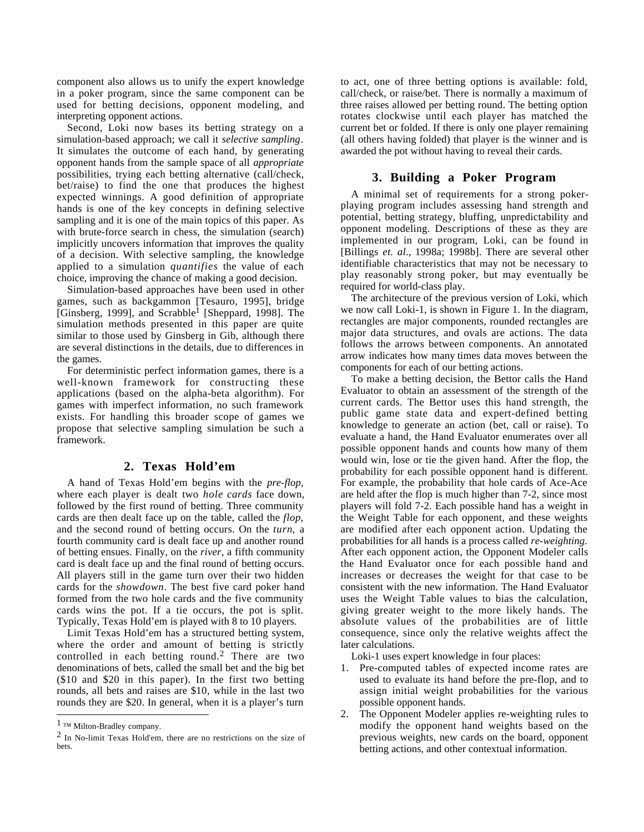component also allows us to unify the expert knowledge in a poker program, since the same component can be used for betting decisions, opponent modeling, and interpreting opponent actions.

Second, Loki now bases its betting strategy on a simulation-based approach; we call it *selective sampling*. It simulates the outcome of each hand, by generating opponent hands from the sample space of all *appropriate* possibilities, trying each betting alternative (call/check, bet/raise) to find the one that produces the highest expected winnings. A good definition of appropriate hands is one of the key concepts in defining selective sampling and it is one of the main topics of this paper. As with brute-force search in chess, the simulation (search) implicitly uncovers information that improves the quality of a decision. With selective sampling, the knowledge applied to a simulation *quantifies* the value of each choice, improving the chance of making a good decision.

Simulation-based approaches have been used in other games, such as backgammon [Tesauro, 1995], bridge [Ginsberg, 1999], and Scrabble1 [Sheppard, 1998]. The simulation methods presented in this paper are quite similar to those used by Ginsberg in Gib, although there are several distinctions in the details, due to differences in the games.

For deterministic perfect information games, there is a well-known framework for constructing these applications (based on the alpha-beta algorithm). For games with imperfect information, no such framework exists. For handling this broader scope of games we propose that selective sampling simulation be such a framework.

# **2. Texas Hold'em**

A hand of Texas Hold'em begins with the *pre-flop*, where each player is dealt two *hole cards* face down, followed by the first round of betting. Three community cards are then dealt face up on the table, called the *flop*, and the second round of betting occurs. On the *turn*, a fourth community card is dealt face up and another round of betting ensues. Finally, on the *river*, a fifth community card is dealt face up and the final round of betting occurs. All players still in the game turn over their two hidden cards for the *showdown*. The best five card poker hand formed from the two hole cards and the five community cards wins the pot. If a tie occurs, the pot is split. Typically, Texas Hold'em is played with 8 to 10 players.

Limit Texas Hold'em has a structured betting system, where the order and amount of betting is strictly controlled in each betting round.2 There are two denominations of bets, called the small bet and the big bet (\$10 and \$20 in this paper). In the first two betting rounds, all bets and raises are \$10, while in the last two rounds they are \$20. In general, when it is a player's turn

 $\overline{a}$ 

to act, one of three betting options is available: fold, call/check, or raise/bet. There is normally a maximum of three raises allowed per betting round. The betting option rotates clockwise until each player has matched the current bet or folded. If there is only one player remaining (all others having folded) that player is the winner and is awarded the pot without having to reveal their cards.

# **3. Building a Poker Program**

A minimal set of requirements for a strong pokerplaying program includes assessing hand strength and potential, betting strategy, bluffing, unpredictability and opponent modeling. Descriptions of these as they are implemented in our program, Loki, can be found in [Billings *et. al*., 1998a; 1998b]. There are several other identifiable characteristics that may not be necessary to play reasonably strong poker, but may eventually be required for world-class play.

The architecture of the previous version of Loki, which we now call Loki-1, is shown in Figure 1. In the diagram, rectangles are major components, rounded rectangles are major data structures, and ovals are actions. The data follows the arrows between components. An annotated arrow indicates how many times data moves between the components for each of our betting actions.

To make a betting decision, the Bettor calls the Hand Evaluator to obtain an assessment of the strength of the current cards. The Bettor uses this hand strength, the public game state data and expert-defined betting knowledge to generate an action (bet, call or raise). To evaluate a hand, the Hand Evaluator enumerates over all possible opponent hands and counts how many of them would win, lose or tie the given hand. After the flop, the probability for each possible opponent hand is different. For example, the probability that hole cards of Ace-Ace are held after the flop is much higher than 7-2, since most players will fold 7-2. Each possible hand has a weight in the Weight Table for each opponent, and these weights are modified after each opponent action. Updating the probabilities for all hands is a process called *re-weighting*. After each opponent action, the Opponent Modeler calls the Hand Evaluator once for each possible hand and increases or decreases the weight for that case to be consistent with the new information. The Hand Evaluator uses the Weight Table values to bias the calculation, giving greater weight to the more likely hands. The absolute values of the probabilities are of little consequence, since only the relative weights affect the later calculations.

Loki-1 uses expert knowledge in four places:

- 1. Pre-computed tables of expected income rates are used to evaluate its hand before the pre-flop, and to assign initial weight probabilities for the various possible opponent hands.
- 2. The Opponent Modeler applies re-weighting rules to modify the opponent hand weights based on the previous weights, new cards on the board, opponent betting actions, and other contextual information.

<sup>1 ™</sup> Milton-Bradley company.

<sup>2</sup> In No-limit Texas Hold'em, there are no restrictions on the size of bets.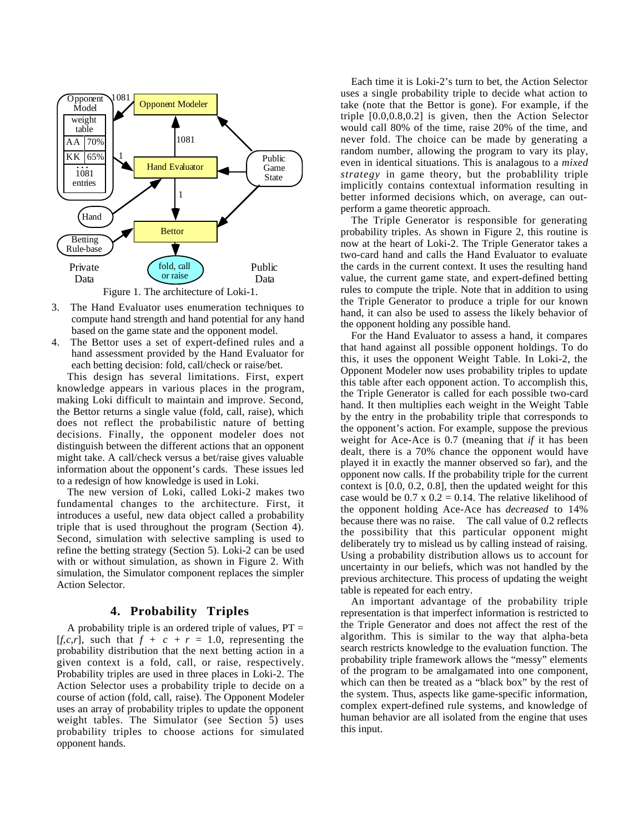

- 3. The Hand Evaluator uses enumeration techniques to compute hand strength and hand potential for any hand based on the game state and the opponent model.
- 4. The Bettor uses a set of expert-defined rules and a hand assessment provided by the Hand Evaluator for each betting decision: fold, call/check or raise/bet.

This design has several limitations. First, expert knowledge appears in various places in the program, making Loki difficult to maintain and improve. Second, the Bettor returns a single value (fold, call, raise), which does not reflect the probabilistic nature of betting decisions. Finally, the opponent modeler does not distinguish between the different actions that an opponent might take. A call/check versus a bet/raise gives valuable information about the opponent's cards. These issues led to a redesign of how knowledge is used in Loki.

The new version of Loki, called Loki-2 makes two fundamental changes to the architecture. First, it introduces a useful, new data object called a probability triple that is used throughout the program (Section 4). Second, simulation with selective sampling is used to refine the betting strategy (Section 5). Loki-2 can be used with or without simulation, as shown in Figure 2. With simulation, the Simulator component replaces the simpler Action Selector.

# **4. Probability Triples**

A probability triple is an ordered triple of values,  $PT =$  $[f, c, r]$ , such that  $f + c + r = 1.0$ , representing the probability distribution that the next betting action in a given context is a fold, call, or raise, respectively. Probability triples are used in three places in Loki-2. The Action Selector uses a probability triple to decide on a course of action (fold, call, raise). The Opponent Modeler uses an array of probability triples to update the opponent weight tables. The Simulator (see Section 5) uses probability triples to choose actions for simulated opponent hands.

Each time it is Loki-2's turn to bet, the Action Selector uses a single probability triple to decide what action to take (note that the Bettor is gone). For example, if the triple [0.0,0.8,0.2] is given, then the Action Selector would call 80% of the time, raise 20% of the time, and never fold. The choice can be made by generating a random number, allowing the program to vary its play, even in identical situations. This is analagous to a *mixed strategy* in game theory, but the probablility triple implicitly contains contextual information resulting in better informed decisions which, on average, can outperform a game theoretic approach.

The Triple Generator is responsible for generating probability triples. As shown in Figure 2, this routine is now at the heart of Loki-2. The Triple Generator takes a two-card hand and calls the Hand Evaluator to evaluate the cards in the current context. It uses the resulting hand value, the current game state, and expert-defined betting rules to compute the triple. Note that in addition to using the Triple Generator to produce a triple for our known hand, it can also be used to assess the likely behavior of the opponent holding any possible hand.

For the Hand Evaluator to assess a hand, it compares that hand against all possible opponent holdings. To do this, it uses the opponent Weight Table. In Loki-2, the Opponent Modeler now uses probability triples to update this table after each opponent action. To accomplish this, the Triple Generator is called for each possible two-card hand. It then multiplies each weight in the Weight Table by the entry in the probability triple that corresponds to the opponent's action. For example, suppose the previous weight for Ace-Ace is 0.7 (meaning that *if* it has been dealt, there is a 70% chance the opponent would have played it in exactly the manner observed so far), and the opponent now calls. If the probability triple for the current context is [0.0, 0.2, 0.8], then the updated weight for this case would be  $0.7 \times 0.2 = 0.14$ . The relative likelihood of the opponent holding Ace-Ace has *decreased* to 14% because there was no raise. The call value of 0.2 reflects the possibility that this particular opponent might deliberately try to mislead us by calling instead of raising. Using a probability distribution allows us to account for uncertainty in our beliefs, which was not handled by the previous architecture. This process of updating the weight table is repeated for each entry.

An important advantage of the probability triple representation is that imperfect information is restricted to the Triple Generator and does not affect the rest of the algorithm. This is similar to the way that alpha-beta search restricts knowledge to the evaluation function. The probability triple framework allows the "messy" elements of the program to be amalgamated into one component, which can then be treated as a "black box" by the rest of the system. Thus, aspects like game-specific information, complex expert-defined rule systems, and knowledge of human behavior are all isolated from the engine that uses this input.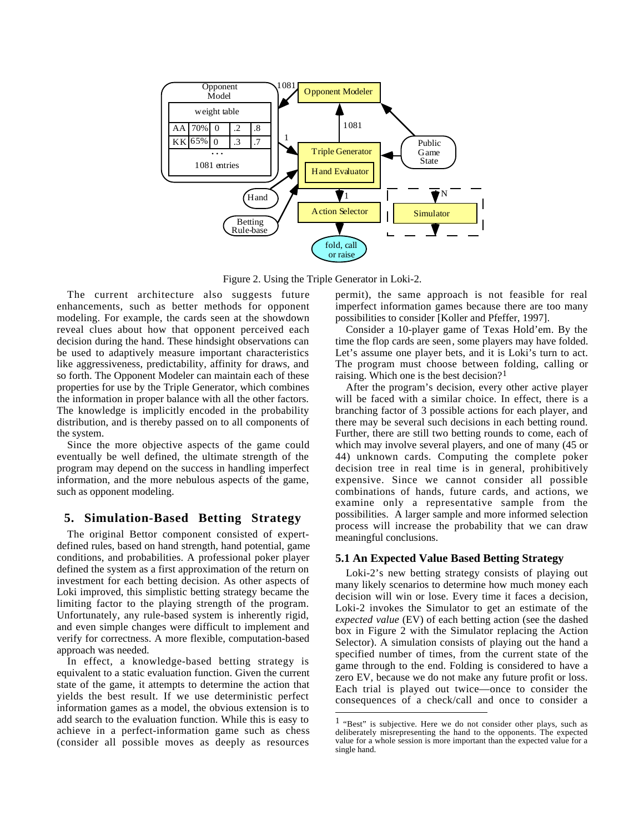

Figure 2. Using the Triple Generator in Loki-2.

 $\overline{a}$ 

The current architecture also suggests future enhancements, such as better methods for opponent modeling. For example, the cards seen at the showdown reveal clues about how that opponent perceived each decision during the hand. These hindsight observations can be used to adaptively measure important characteristics like aggressiveness, predictability, affinity for draws, and so forth. The Opponent Modeler can maintain each of these properties for use by the Triple Generator, which combines the information in proper balance with all the other factors. The knowledge is implicitly encoded in the probability distribution, and is thereby passed on to all components of the system.

Since the more objective aspects of the game could eventually be well defined, the ultimate strength of the program may depend on the success in handling imperfect information, and the more nebulous aspects of the game, such as opponent modeling.

# **5. Simulation-Based Betting Strategy**

The original Bettor component consisted of expertdefined rules, based on hand strength, hand potential, game conditions, and probabilities. A professional poker player defined the system as a first approximation of the return on investment for each betting decision. As other aspects of Loki improved, this simplistic betting strategy became the limiting factor to the playing strength of the program. Unfortunately, any rule-based system is inherently rigid, and even simple changes were difficult to implement and verify for correctness. A more flexible, computation-based approach was needed.

In effect, a knowledge-based betting strategy is equivalent to a static evaluation function. Given the current state of the game, it attempts to determine the action that yields the best result. If we use deterministic perfect information games as a model, the obvious extension is to add search to the evaluation function. While this is easy to achieve in a perfect-information game such as chess (consider all possible moves as deeply as resources

permit), the same approach is not feasible for real imperfect information games because there are too many possibilities to consider [Koller and Pfeffer, 1997].

Consider a 10-player game of Texas Hold'em. By the time the flop cards are seen, some players may have folded. Let's assume one player bets, and it is Loki's turn to act. The program must choose between folding, calling or raising. Which one is the best decision?<sup>1</sup>

After the program's decision, every other active player will be faced with a similar choice. In effect, there is a branching factor of 3 possible actions for each player, and there may be several such decisions in each betting round. Further, there are still two betting rounds to come, each of which may involve several players, and one of many (45 or 44) unknown cards. Computing the complete poker decision tree in real time is in general, prohibitively expensive. Since we cannot consider all possible combinations of hands, future cards, and actions, we examine only a representative sample from the possibilities. A larger sample and more informed selection process will increase the probability that we can draw meaningful conclusions.

#### **5.1 An Expected Value Based Betting Strategy**

Loki-2's new betting strategy consists of playing out many likely scenarios to determine how much money each decision will win or lose. Every time it faces a decision, Loki-2 invokes the Simulator to get an estimate of the *expected value* (EV) of each betting action (see the dashed box in Figure 2 with the Simulator replacing the Action Selector). A simulation consists of playing out the hand a specified number of times, from the current state of the game through to the end. Folding is considered to have a zero EV, because we do not make any future profit or loss. Each trial is played out twice—once to consider the consequences of a check/call and once to consider a

<sup>1 &</sup>quot;Best" is subjective. Here we do not consider other plays, such as deliberately misrepresenting the hand to the opponents. The expected value for a whole session is more important than the expected value for a single hand.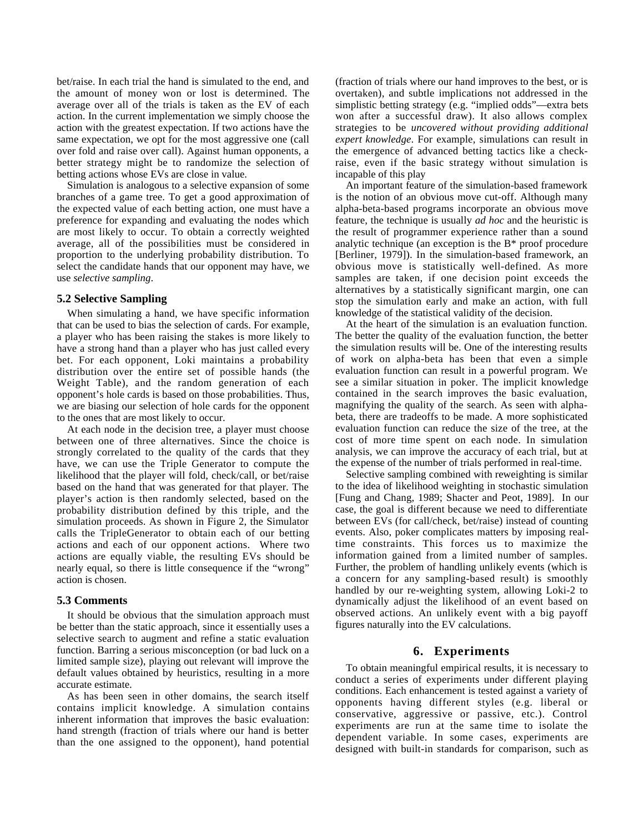bet/raise. In each trial the hand is simulated to the end, and the amount of money won or lost is determined. The average over all of the trials is taken as the EV of each action. In the current implementation we simply choose the action with the greatest expectation. If two actions have the same expectation, we opt for the most aggressive one (call over fold and raise over call). Against human opponents, a better strategy might be to randomize the selection of betting actions whose EVs are close in value.

Simulation is analogous to a selective expansion of some branches of a game tree. To get a good approximation of the expected value of each betting action, one must have a preference for expanding and evaluating the nodes which are most likely to occur. To obtain a correctly weighted average, all of the possibilities must be considered in proportion to the underlying probability distribution. To select the candidate hands that our opponent may have, we use *selective sampling*.

#### **5.2 Selective Sampling**

When simulating a hand, we have specific information that can be used to bias the selection of cards. For example, a player who has been raising the stakes is more likely to have a strong hand than a player who has just called every bet. For each opponent, Loki maintains a probability distribution over the entire set of possible hands (the Weight Table), and the random generation of each opponent's hole cards is based on those probabilities. Thus, we are biasing our selection of hole cards for the opponent to the ones that are most likely to occur.

At each node in the decision tree, a player must choose between one of three alternatives. Since the choice is strongly correlated to the quality of the cards that they have, we can use the Triple Generator to compute the likelihood that the player will fold, check/call, or bet/raise based on the hand that was generated for that player. The player's action is then randomly selected, based on the probability distribution defined by this triple, and the simulation proceeds. As shown in Figure 2, the Simulator calls the TripleGenerator to obtain each of our betting actions and each of our opponent actions. Where two actions are equally viable, the resulting EVs should be nearly equal, so there is little consequence if the "wrong" action is chosen.

#### **5.3 Comments**

It should be obvious that the simulation approach must be better than the static approach, since it essentially uses a selective search to augment and refine a static evaluation function. Barring a serious misconception (or bad luck on a limited sample size), playing out relevant will improve the default values obtained by heuristics, resulting in a more accurate estimate.

As has been seen in other domains, the search itself contains implicit knowledge. A simulation contains inherent information that improves the basic evaluation: hand strength (fraction of trials where our hand is better than the one assigned to the opponent), hand potential

(fraction of trials where our hand improves to the best, or is overtaken), and subtle implications not addressed in the simplistic betting strategy (e.g. "implied odds"—extra bets won after a successful draw). It also allows complex strategies to be *uncovered without providing additional expert knowledge*. For example, simulations can result in the emergence of advanced betting tactics like a checkraise, even if the basic strategy without simulation is incapable of this play

An important feature of the simulation-based framework is the notion of an obvious move cut-off. Although many alpha-beta-based programs incorporate an obvious move feature, the technique is usually *ad hoc* and the heuristic is the result of programmer experience rather than a sound analytic technique (an exception is the B\* proof procedure [Berliner, 1979]). In the simulation-based framework, an obvious move is statistically well-defined. As more samples are taken, if one decision point exceeds the alternatives by a statistically significant margin, one can stop the simulation early and make an action, with full knowledge of the statistical validity of the decision.

At the heart of the simulation is an evaluation function. The better the quality of the evaluation function, the better the simulation results will be. One of the interesting results of work on alpha-beta has been that even a simple evaluation function can result in a powerful program. We see a similar situation in poker. The implicit knowledge contained in the search improves the basic evaluation, magnifying the quality of the search. As seen with alphabeta, there are tradeoffs to be made. A more sophisticated evaluation function can reduce the size of the tree, at the cost of more time spent on each node. In simulation analysis, we can improve the accuracy of each trial, but at the expense of the number of trials performed in real-time.

Selective sampling combined with reweighting is similar to the idea of likelihood weighting in stochastic simulation [Fung and Chang, 1989; Shacter and Peot, 1989]. In our case, the goal is different because we need to differentiate between EVs (for call/check, bet/raise) instead of counting events. Also, poker complicates matters by imposing realtime constraints. This forces us to maximize the information gained from a limited number of samples. Further, the problem of handling unlikely events (which is a concern for any sampling-based result) is smoothly handled by our re-weighting system, allowing Loki-2 to dynamically adjust the likelihood of an event based on observed actions. An unlikely event with a big payoff figures naturally into the EV calculations.

# **6. Experiments**

To obtain meaningful empirical results, it is necessary to conduct a series of experiments under different playing conditions. Each enhancement is tested against a variety of opponents having different styles (e.g. liberal or conservative, aggressive or passive, etc.). Control experiments are run at the same time to isolate the dependent variable. In some cases, experiments are designed with built-in standards for comparison, such as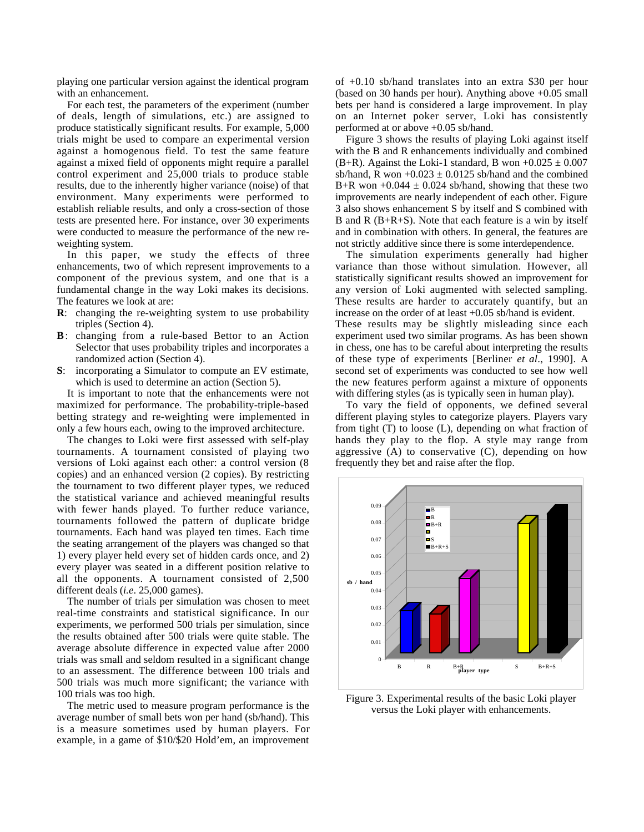playing one particular version against the identical program with an enhancement.

For each test, the parameters of the experiment (number of deals, length of simulations, etc.) are assigned to produce statistically significant results. For example, 5,000 trials might be used to compare an experimental version against a homogenous field. To test the same feature against a mixed field of opponents might require a parallel control experiment and 25,000 trials to produce stable results, due to the inherently higher variance (noise) of that environment. Many experiments were performed to establish reliable results, and only a cross-section of those tests are presented here. For instance, over 30 experiments were conducted to measure the performance of the new reweighting system.

In this paper, we study the effects of three enhancements, two of which represent improvements to a component of the previous system, and one that is a fundamental change in the way Loki makes its decisions. The features we look at are:

- **R**: changing the re-weighting system to use probability triples (Section 4).
- **B**: changing from a rule-based Bettor to an Action Selector that uses probability triples and incorporates a randomized action (Section 4).
- **S**: incorporating a Simulator to compute an EV estimate, which is used to determine an action (Section 5).

It is important to note that the enhancements were not maximized for performance. The probability-triple-based betting strategy and re-weighting were implemented in only a few hours each, owing to the improved architecture.

The changes to Loki were first assessed with self-play tournaments. A tournament consisted of playing two versions of Loki against each other: a control version (8 copies) and an enhanced version (2 copies). By restricting the tournament to two different player types, we reduced the statistical variance and achieved meaningful results with fewer hands played. To further reduce variance, tournaments followed the pattern of duplicate bridge tournaments. Each hand was played ten times. Each time the seating arrangement of the players was changed so that 1) every player held every set of hidden cards once, and 2) every player was seated in a different position relative to all the opponents. A tournament consisted of 2,500 different deals (*i.e*. 25,000 games).

The number of trials per simulation was chosen to meet real-time constraints and statistical significance. In our experiments, we performed 500 trials per simulation, since the results obtained after 500 trials were quite stable. The average absolute difference in expected value after 2000 trials was small and seldom resulted in a significant change to an assessment. The difference between 100 trials and 500 trials was much more significant; the variance with 100 trials was too high.

The metric used to measure program performance is the average number of small bets won per hand (sb/hand). This is a measure sometimes used by human players. For example, in a game of \$10/\$20 Hold'em, an improvement

of +0.10 sb/hand translates into an extra \$30 per hour (based on 30 hands per hour). Anything above +0.05 small bets per hand is considered a large improvement. In play on an Internet poker server, Loki has consistently performed at or above +0.05 sb/hand.

Figure 3 shows the results of playing Loki against itself with the B and R enhancements individually and combined (B+R). Against the Loki-1 standard, B won  $+0.025 \pm 0.007$ sb/hand, R won  $+0.023 \pm 0.0125$  sb/hand and the combined B+R won  $+0.044 \pm 0.024$  sb/hand, showing that these two improvements are nearly independent of each other. Figure 3 also shows enhancement S by itself and S combined with B and R (B+R+S). Note that each feature is a win by itself and in combination with others. In general, the features are not strictly additive since there is some interdependence.

The simulation experiments generally had higher variance than those without simulation. However, all statistically significant results showed an improvement for any version of Loki augmented with selected sampling. These results are harder to accurately quantify, but an increase on the order of at least +0.05 sb/hand is evident. These results may be slightly misleading since each experiment used two similar programs. As has been shown in chess, one has to be careful about interpreting the results of these type of experiments [Berliner *et al*., 1990]. A second set of experiments was conducted to see how well the new features perform against a mixture of opponents with differing styles (as is typically seen in human play).

To vary the field of opponents, we defined several different playing styles to categorize players. Players vary from tight (T) to loose (L), depending on what fraction of hands they play to the flop. A style may range from aggressive  $(A)$  to conservative  $(C)$ , depending on how frequently they bet and raise after the flop.



Figure 3. Experimental results of the basic Loki player versus the Loki player with enhancements.